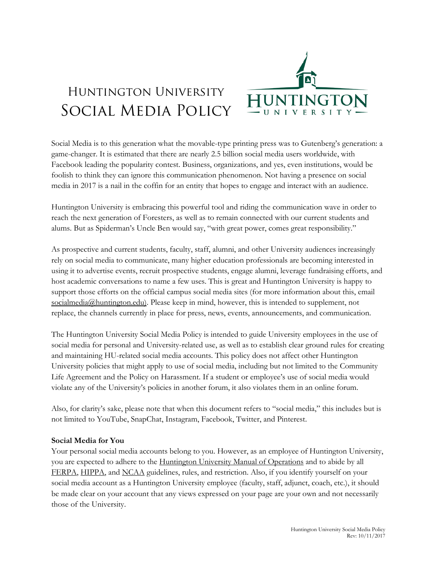

# Huntington University Social Media Policy

Social Media is to this generation what the movable-type printing press was to Gutenberg's generation: a game-changer. It is estimated that there are nearly 2.5 billion social media users worldwide, with Facebook leading the popularity contest. Business, organizations, and yes, even institutions, would be foolish to think they can ignore this communication phenomenon. Not having a presence on social media in 2017 is a nail in the coffin for an entity that hopes to engage and interact with an audience.

Huntington University is embracing this powerful tool and riding the communication wave in order to reach the next generation of Foresters, as well as to remain connected with our current students and alums. But as Spiderman's Uncle Ben would say, "with great power, comes great responsibility."

As prospective and current students, faculty, staff, alumni, and other University audiences increasingly rely on social media to communicate, many higher education professionals are becoming interested in using it to advertise events, recruit prospective students, engage alumni, leverage fundraising efforts, and host academic conversations to name a few uses. This is great and Huntington University is happy to support those efforts on the official campus social media sites (for more information about this, email [socialmedia@huntington.edu\).](mailto:socialmedia@huntington.edu)) Please keep in mind, however, this is intended to supplement, not replace, the channels currently in place for press, news, events, announcements, and communication.

The Huntington University Social Media Policy is intended to guide University employees in the use of social media for personal and University-related use, as well as to establish clear ground rules for creating and maintaining HU-related social media accounts. This policy does not affect other Huntington University policies that might apply to use of social media, including but not limited to the Community Life Agreement and the Policy on Harassment. If a student or employee's use of social media would violate any of the University's policies in another forum, it also violates them in an online forum.

Also, for clarity's sake, please note that when this document refers to "social media," this includes but is not limited to YouTube, SnapChat, Instagram, Facebook, Twitter, and Pinterest.

#### **Social Media for You**

Your personal social media accounts belong to you. However, as an employee of Huntington University, you are expected to adhere to the [Huntington University Manual of Operations](https://www.huntington.edu/uploads/page/Manual_of_Operations.pdf) and to abide by all [FERPA,](https://www2.ed.gov/policy/gen/guid/fpco/ferpa/index.html) [HIPPA,](https://www.hhs.gov/hipaa/index.html) and [NCAA](http://www.ncaa.org/) guidelines, rules, and restriction. Also, if you identify yourself on your social media account as a Huntington University employee (faculty, staff, adjunct, coach, etc.), it should be made clear on your account that any views expressed on your page are your own and not necessarily those of the University.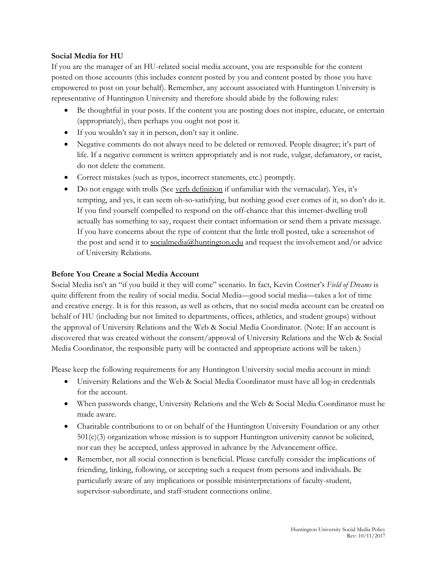## **Social Media for HU**

If you are the manager of an HU-related social media account, you are responsible for the content posted on those accounts (this includes content posted by you and content posted by those you have empowered to post on your behalf). Remember, any account associated with Huntington University is representative of Huntington University and therefore should abide by the following rules:

- Be thoughtful in your posts. If the content you are posting does not inspire, educate, or entertain (appropriately), then perhaps you ought not post it.
- If you wouldn't say it in person, don't say it online.
- Negative comments do not always need to be deleted or removed. People disagree; it's part of life. If a negative comment is written appropriately and is not rude, vulgar, defamatory, or racist, do not delete the comment.
- Correct mistakes (such as typos, incorrect statements, etc.) promptly.
- Do not engage with trolls (See [verb definition](https://www.merriam-webster.com/dictionary/troll) if unfamiliar with the vernacular). Yes, it's tempting, and yes, it can seem oh-so-satisfying, but nothing good ever comes of it, so don't do it. If you find yourself compelled to respond on the off-chance that this internet-dwelling troll actually has something to say, request their contact information or send them a private message. If you have concerns about the type of content that the little troll posted, take a screenshot of the post and send it to [socialmedia@huntington.edu](mailto:socialmedia@huntington.edu) and request the involvement and/or advice of University Relations.

## **Before You Create a Social Media Account**

Social Media isn't an "if you build it they will come" scenario. In fact, Kevin Costner's *Field of Dreams* is quite different from the reality of social media. Social Media—good social media—takes a lot of time and creative energy. It is for this reason, as well as others, that no social media account can be created on behalf of HU (including but not limited to departments, offices, athletics, and student groups) without the approval of University Relations and the Web & Social Media Coordinator. (Note: If an account is discovered that was created without the consent/approval of University Relations and the Web & Social Media Coordinator, the responsible party will be contacted and appropriate actions will be taken.)

Please keep the following requirements for any Huntington University social media account in mind:

- University Relations and the Web & Social Media Coordinator must have all log-in credentials for the account.
- When passwords change, University Relations and the Web & Social Media Coordinator must be made aware.
- Charitable contributions to or on behalf of the Huntington University Foundation or any other 501(c)(3) organization whose mission is to support Huntington university cannot be solicited, nor can they be accepted, unless approved in advance by the Advancement office.
- Remember, not all social connection is beneficial. Please carefully consider the implications of friending, linking, following, or accepting such a request from persons and individuals. Be particularly aware of any implications or possible misinterpretations of faculty-student, supervisor-subordinate, and staff-student connections online.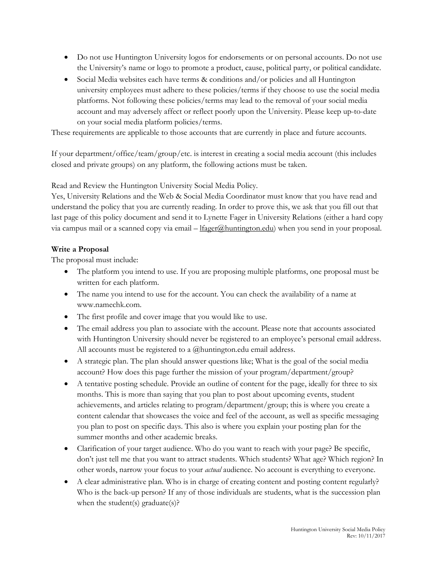- Do not use Huntington University logos for endorsements or on personal accounts. Do not use the University's name or logo to promote a product, cause, political party, or political candidate.
- Social Media websites each have terms & conditions and/or policies and all Huntington university employees must adhere to these policies/terms if they choose to use the social media platforms. Not following these policies/terms may lead to the removal of your social media account and may adversely affect or reflect poorly upon the University. Please keep up-to-date on your social media platform policies/terms.

These requirements are applicable to those accounts that are currently in place and future accounts.

If your department/office/team/group/etc. is interest in creating a social media account (this includes closed and private groups) on any platform, the following actions must be taken.

Read and Review the Huntington University Social Media Policy.

Yes, University Relations and the Web & Social Media Coordinator must know that you have read and understand the policy that you are currently reading. In order to prove this, we ask that you fill out that last page of this policy document and send it to Lynette Fager in University Relations (either a hard copy via campus mail or a scanned copy via email – [lfager@huntington.edu\)](mailto:lfager@huntington.edu) when you send in your proposal.

# **Write a Proposal**

The proposal must include:

- The platform you intend to use. If you are proposing multiple platforms, one proposal must be written for each platform.
- The name you intend to use for the account. You can check the availability of a name at www.namechk.com.
- The first profile and cover image that you would like to use.
- The email address you plan to associate with the account. Please note that accounts associated with Huntington University should never be registered to an employee's personal email address. All accounts must be registered to a @huntington.edu email address.
- A strategic plan. The plan should answer questions like; What is the goal of the social media account? How does this page further the mission of your program/department/group?
- A tentative posting schedule. Provide an outline of content for the page, ideally for three to six months. This is more than saying that you plan to post about upcoming events, student achievements, and articles relating to program/department/group; this is where you create a content calendar that showcases the voice and feel of the account, as well as specific messaging you plan to post on specific days. This also is where you explain your posting plan for the summer months and other academic breaks.
- Clarification of your target audience. Who do you want to reach with your page? Be specific, don't just tell me that you want to attract students. Which students? What age? Which region? In other words, narrow your focus to your *actual* audience. No account is everything to everyone.
- A clear administrative plan. Who is in charge of creating content and posting content regularly? Who is the back-up person? If any of those individuals are students, what is the succession plan when the student(s) graduate(s)?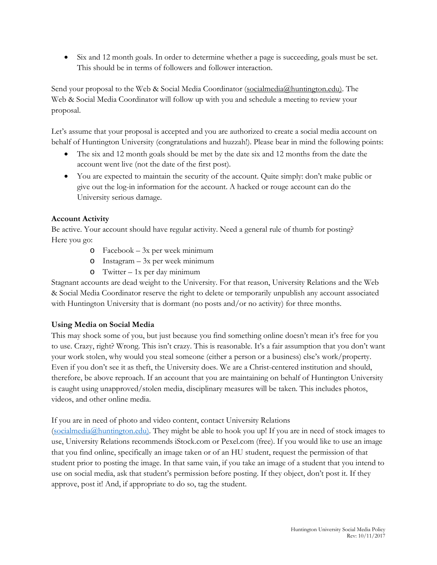• Six and 12 month goals. In order to determine whether a page is succeeding, goals must be set. This should be in terms of followers and follower interaction.

Send your proposal to the Web & Social Media Coordinator [\(socialmedia@huntington.edu\).](mailto:socialmedia@huntington.edu)) The Web & Social Media Coordinator will follow up with you and schedule a meeting to review your proposal.

Let's assume that your proposal is accepted and you are authorized to create a social media account on behalf of Huntington University (congratulations and huzzah!). Please bear in mind the following points:

- The six and 12 month goals should be met by the date six and 12 months from the date the account went live (not the date of the first post).
- You are expected to maintain the security of the account. Quite simply: don't make public or give out the log-in information for the account. A hacked or rouge account can do the University serious damage.

# **Account Activity**

Be active. Your account should have regular activity. Need a general rule of thumb for posting? Here you go:

- o Facebook 3x per week minimum
- o Instagram 3x per week minimum
- o Twitter 1x per day minimum

Stagnant accounts are dead weight to the University. For that reason, University Relations and the Web & Social Media Coordinator reserve the right to delete or temporarily unpublish any account associated with Huntington University that is dormant (no posts and/or no activity) for three months.

# **Using Media on Social Media**

This may shock some of you, but just because you find something online doesn't mean it's free for you to use. Crazy, right? Wrong. This isn't crazy. This is reasonable. It's a fair assumption that you don't want your work stolen, why would you steal someone (either a person or a business) else's work/property. Even if you don't see it as theft, the University does. We are a Christ-centered institution and should, therefore, be above reproach. If an account that you are maintaining on behalf of Huntington University is caught using unapproved/stolen media, disciplinary measures will be taken. This includes photos, videos, and other online media.

# If you are in need of photo and video content, contact University Relations

[\(socialmedia@huntington.edu\).](mailto:socialmedia@huntington.edu)) They might be able to hook you up! If you are in need of stock images to use, University Relations recommends iStock.com or Pexel.com (free). If you would like to use an image that you find online, specifically an image taken or of an HU student, request the permission of that student prior to posting the image. In that same vain, if you take an image of a student that you intend to use on social media, ask that student's permission before posting. If they object, don't post it. If they approve, post it! And, if appropriate to do so, tag the student.